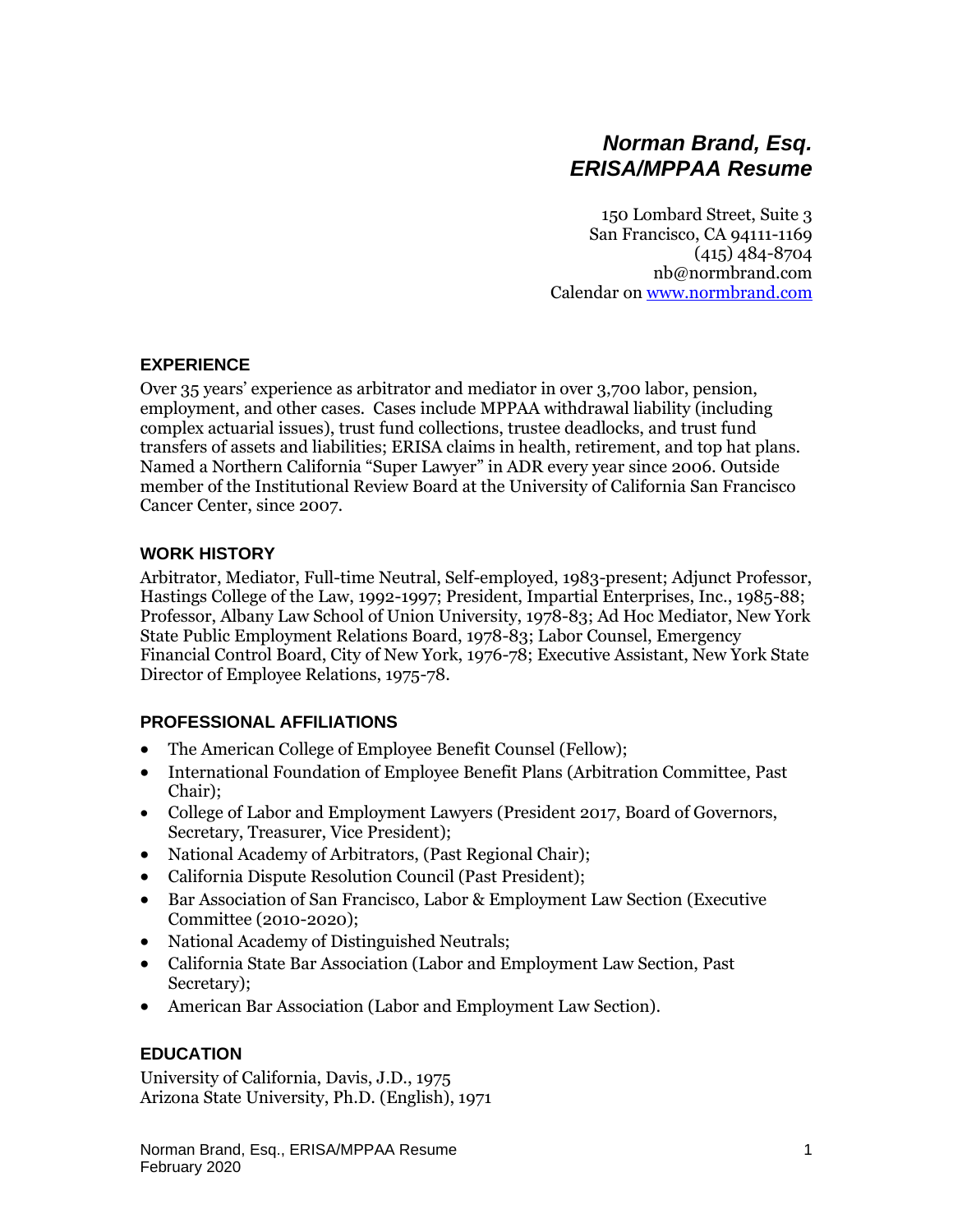# *Norman Brand, Esq. ERISA/MPPAA Resume*

150 Lombard Street, Suite 3 San Francisco, CA 94111-1169 (415) 484-8704 nb@normbrand.com Calendar on [www.normbrand.com](http://www.normbrand.com/)

#### **EXPERIENCE**

Over 35 years' experience as arbitrator and mediator in over 3,700 labor, pension, employment, and other cases. Cases include MPPAA withdrawal liability (including complex actuarial issues), trust fund collections, trustee deadlocks, and trust fund transfers of assets and liabilities; ERISA claims in health, retirement, and top hat plans. Named a Northern California "Super Lawyer" in ADR every year since 2006. Outside member of the Institutional Review Board at the University of California San Francisco Cancer Center, since 2007.

#### **WORK HISTORY**

Arbitrator, Mediator, Full-time Neutral, Self-employed, 1983-present; Adjunct Professor, Hastings College of the Law, 1992-1997; President, Impartial Enterprises, Inc., 1985-88; Professor, Albany Law School of Union University, 1978-83; Ad Hoc Mediator, New York State Public Employment Relations Board, 1978-83; Labor Counsel, Emergency Financial Control Board, City of New York, 1976-78; Executive Assistant, New York State Director of Employee Relations, 1975-78.

#### **PROFESSIONAL AFFILIATIONS**

- The American College of Employee Benefit Counsel (Fellow);
- International Foundation of Employee Benefit Plans (Arbitration Committee, Past Chair);
- College of Labor and Employment Lawyers (President 2017, Board of Governors, Secretary, Treasurer, Vice President);
- National Academy of Arbitrators, (Past Regional Chair);
- California Dispute Resolution Council (Past President);
- Bar Association of San Francisco, Labor & Employment Law Section (Executive Committee (2010-2020);
- National Academy of Distinguished Neutrals;
- California State Bar Association (Labor and Employment Law Section, Past Secretary);
- American Bar Association (Labor and Employment Law Section).

## **EDUCATION**

University of California, Davis, J.D., 1975 Arizona State University, Ph.D. (English), 1971